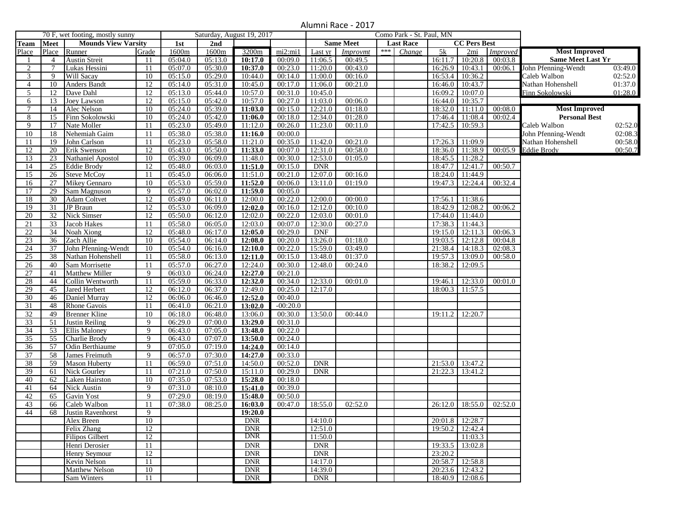## Alumni Race - 2017

|                | 70 F, wet footing, mostly sunny |                                        |                 | Saturday, August 19, 2017 |                      |                    |            | Como Park - St. Paul, MN |                  |     |                  |         |                     |                 |                          |         |
|----------------|---------------------------------|----------------------------------------|-----------------|---------------------------|----------------------|--------------------|------------|--------------------------|------------------|-----|------------------|---------|---------------------|-----------------|--------------------------|---------|
| <b>Team</b>    | <b>Meet</b>                     | <b>Mounds View Varsity</b>             |                 | 1st                       | 2nd                  |                    |            |                          | <b>Same Meet</b> |     | <b>Last Race</b> |         | <b>CC Pers Best</b> |                 |                          |         |
| Place          |                                 | Place Runner                           | Grade           | 1600m                     | 1600m                | 3200m              | mi2:mi1    | $\overline{L}$ ast yr    | Improvmt         | *** | Change           | 5k      | 2mi                 | <i>Improved</i> | <b>Most Improved</b>     |         |
|                | $\overline{4}$                  | <b>Austin Streit</b>                   | 11              | 05:04.0                   | 05:13.0              | 10:17.0            | 00:09.0    | 11:06.5                  | 00:49.5          |     |                  | 16:11.7 | 10:20.8             | 00:03.8         | <b>Same Meet Last Yr</b> |         |
| 2              | 7                               | Lukas Hessini                          | 11              | 05:07.0                   | 05:30.0              | 10:37.0            | 00:23.0    | 11:20.0                  | 00:43.0          |     |                  | 16:26.9 | 10:43.1             | 00:06.1         | John Pfenning-Wendt      | 03:49.0 |
| 3              | 9                               | Will Sacay                             | 10              | 05:15.0                   | 05:29.0              | 10:44.0            | 00:14.0    | 11:00.0                  | 00:16.0          |     |                  | 16:53.4 | 10:36.2             |                 | Caleb Walbon             | 02:52.0 |
| $\overline{4}$ | 10                              | <b>Anders Bandt</b>                    | 12              | 05:14.0                   | 05:31.0              | 10:45.0            | 00:17.0    | 11:06.0                  | 00:21.0          |     |                  | 16:46.0 | 10:43.7             |                 | Nathan Hohenshell        | 01:37.0 |
| 5              | 12                              | Dave Dahl                              | 12              | 05:13.0                   | 05:44.0              | 10:57.0            | 00:31.0    | 10:45.0                  |                  |     |                  | 16:09.2 | 10:07.0             |                 | Finn Sokolowski          | 01:28.0 |
| 6              | 13                              | Joey Lawson                            | 12              | 05:15.0                   | 05:42.0              | 10:57.0            | 00:27.0    | 11:03.0                  | 00:06.0          |     |                  | 16:44.0 | 10:35.7             |                 |                          |         |
| $\tau$         | 14                              | Alec Nelson                            | 10              | 05:24.0                   | 05:39.0              | 11:03.0            | 00:15.0    | 12:21.0                  | 01:18.0          |     |                  | 18:32.0 | 11:11.0             | 00:08.0         | <b>Most Improved</b>     |         |
| 8              | 15                              | Finn Sokolowski                        | 10              | 05:24.0                   | 05:42.0              | 11:06.0            | 00:18.0    | 12:34.0                  | 01:28.0          |     |                  | 17:46.4 | 11:08.4             | 00:02.4         | <b>Personal Best</b>     |         |
| 9              | 17                              | Nate Moller                            | 11              | 05:23.0                   | 05:49.0              | 11:12.0            | 00:26.0    | 11:23.0                  | 00:11.0          |     |                  | 17:42.5 | 10:59.3             |                 | Caleb Walbon             | 02:52.0 |
| 10             | 18                              | Nehemiah Gaim                          | 11              | 05:38.0                   | 05:38.0              | 11:16.0            | 00:00.0    |                          |                  |     |                  |         |                     |                 | John Pfenning-Wendt      | 02:08.3 |
| 11             | 19                              | John Carlson                           | 11              | 05:23.0                   | 05:58.0              | 11:21.0            | 00:35.0    | 11:42.0                  | 00:21.0          |     |                  | 17:26.3 | 11:09.9             |                 | Nathan Hohenshell        | 00:58.0 |
| 12             | 20                              | Erik Swenson                           | 12              | 05:43.0                   | 05:50.0              | 11:33.0            | 00:07.0    | 12:31.0                  | 00:58.0          |     |                  | 18:36.0 | 11:38.9             | 00:05.9         | <b>Eddie Brody</b>       | 00:50.7 |
| 13             | 23                              | Nathaniel Apostol                      | 10              | 05:39.0                   | 06:09.0              | 11:48.0            | 00:30.0    | 12:53.0                  | 01:05.0          |     |                  | 18:45.5 | 11:28.2             |                 |                          |         |
| 14             | 25                              | <b>Eddie Brody</b>                     | 12              | 05:48.0                   | 06:03.0              | 11:51.0            | 00:15.0    | <b>DNR</b>               |                  |     |                  | 18:47.7 | 12:41.7             | 00:50.7         |                          |         |
| 15             | 26                              | <b>Steve McCoy</b>                     | 11              | 05:45.0                   | 06:06.0              | 11:51.0            | 00:21.0    | 12:07.0                  | 00:16.0          |     |                  | 18:24.0 | 11:44.9             |                 |                          |         |
| 16             | 27                              | <b>Mikey Gennaro</b>                   | 10              | 05:53.0                   | 05:59.0              | 11:52.0            | 00:06.0    | 13:11.0                  | 01:19.0          |     |                  | 19:47.3 | 12:24.4             | 00:32.4         |                          |         |
| 17             | 29                              | Sam Magnuson                           | 9               | 05:57.0                   | 06:02.0              | 11:59.0            | 00:05.0    |                          |                  |     |                  |         |                     |                 |                          |         |
| 18             | 30                              | Adam Coltvet                           | $\overline{12}$ | 05:49.0                   | 06:11.0              | 12:00.0            | 00:22.0    | 12:00.0                  | 00:00.0          |     |                  | 17:56.1 | 11:38.6             |                 |                          |         |
| 19             | 31                              | JP Braun                               | 12              | 05:53.0                   | 06:09.0              | 12:02.0            | 00:16.0    | 12:12.0                  | 00:10.0          |     |                  | 18:42.9 | 12:08.2             | 00:06.2         |                          |         |
| 20             | $\overline{32}$                 | <b>Nick Simser</b>                     | 12              | 05:50.0                   | 06:12.0              | 12:02.0            | 00:22.0    | 12:03.0                  | 00:01.0          |     |                  | 17:44.0 | 11:44.0             |                 |                          |         |
| 21             | 33                              | Jacob Hakes                            | 11              | 05:58.0                   | 06:05.0              | 12:03.0            | 00:07.0    | 12:30.0                  | 00:27.0          |     |                  | 17:38.3 | 11:44.3             |                 |                          |         |
| 22             | 34                              | Noah Xiong                             | 12              | 05:48.0                   | 06:17.0              | 12:05.0            | 00:29.0    | <b>DNF</b>               |                  |     |                  | 19:15.0 | 12:11.3             | 00:06.3         |                          |         |
| 23             | 36                              | Zach Allie                             | 10              | 05:54.0                   | 06:14.0              | 12:08.0            | 00:20.0    | 13:26.0                  | 01:18.0          |     |                  | 19:03.5 | 12:12.8             | 00:04.8         |                          |         |
| 24             | 37                              | John Pfenning-Wendt                    | 10              | 05:54.0                   | $06:16.\overline{0}$ | 12:10.0            | 00:22.0    | 15:59.0                  | 03:49.0          |     |                  | 21:38.4 | 14:18.3             | 02:08.3         |                          |         |
| 25             | 38                              | Nathan Hohenshell                      | 11              | 05:58.0                   | 06:13.0              | 12:11.0            | 00:15.0    | 13:48.0                  | 01:37.0          |     |                  | 19:57.3 | 13:09.0             | 00:58.0         |                          |         |
| 26             | 40                              | Sam Morrisette                         | 11              | 05:57.0                   | 06:27.0              | 12:24.0            | 00:30.0    | 12:48.0                  | 00:24.0          |     |                  | 18:38.2 | 12:09.5             |                 |                          |         |
| 27             | 41                              | Matthew Miller                         | 9               | 06:03.0                   | 06:24.0              | 12:27.0            | 00:21.0    |                          |                  |     |                  |         |                     |                 |                          |         |
| 28             | 44                              | Collin Wentworth                       | 11              | 05:59.0                   | 06:33.0              | 12:32.0            | 00:34.0    | 12:33.0                  | 00:01.0          |     |                  | 19:46.1 | 12:33.0             | 00:01.0         |                          |         |
| 29             | 45                              | <b>Jared Herbert</b>                   | 12              | 06:12.0                   | 06:37.0              | 12:49.0            | 00:25.0    | 12:17.0                  |                  |     |                  | 18:00.3 | 11:57.5             |                 |                          |         |
| 30             | 46                              | Daniel Murray                          | 12              | 06:06.0                   | 06:46.0              | 12:52.0            | 00:40.0    |                          |                  |     |                  |         |                     |                 |                          |         |
|                | 48                              | <b>Rhone Gavois</b>                    | 11              | 06:41.0                   | 06:21.0              | 13:02.0            | $-00:20.0$ |                          |                  |     |                  |         |                     |                 |                          |         |
| 31<br>32       | 49                              |                                        | 10              |                           |                      | 13:06.0            | 00:30.0    | 13:50.0                  | 00:44.0          |     |                  | 19:11.2 | 12:20.7             |                 |                          |         |
|                | 51                              | <b>Brenner Kline</b>                   | 9               | 06:18.0<br>06:29.0        | 06:48.0<br>07:00.0   |                    | 00:31.0    |                          |                  |     |                  |         |                     |                 |                          |         |
| 33             |                                 | Justin Reiling<br><b>Ellis Maloney</b> | 9               | 06:43.0                   | 07:05.0              | 13:29.0<br>13:48.0 | 00:22.0    |                          |                  |     |                  |         |                     |                 |                          |         |
| 34<br>35       | 53<br>55                        | Charlie Brody                          | 9               | 06:43.0                   | 07:07.0              | 13:50.0            | 00:24.0    |                          |                  |     |                  |         |                     |                 |                          |         |
| 36             | 57                              |                                        | 9               | 07:05.0                   | 07:19.0              | 14:24.0            | 00:14.0    |                          |                  |     |                  |         |                     |                 |                          |         |
| 37             | 58                              | Odin Berthiaume                        | 9               |                           |                      | 14:27.0            |            |                          |                  |     |                  |         |                     |                 |                          |         |
| 38             | 59                              | James Freimuth                         | 11              | 06:57.0                   | 07:30.0<br>07:51.0   |                    | 00:33.0    | <b>DNR</b>               |                  |     |                  |         |                     |                 |                          |         |
|                |                                 | <b>Mason Huberty</b>                   |                 | 06:59.0                   |                      | 14:50.0            | 00:52.0    |                          |                  |     |                  | 21:53.0 | 13:47.2             |                 |                          |         |
| 39             | 61                              | <b>Nick Gourley</b>                    | 11              | 07:21.0                   | 07:50.0              | 15:11.0            | 00:29.0    | <b>DNR</b>               |                  |     |                  | 21:22.3 | 13:41.2             |                 |                          |         |
| 40             | 62                              | Laken Hairston                         | 10<br>9         | 07:35.0                   | 07:53.0              | 15:28.0            | 00:18.0    |                          |                  |     |                  |         |                     |                 |                          |         |
| 41             | 64                              | <b>Nick Austin</b>                     | 9               | 07:31.0                   | 08:10.0              | 15:41.0            | 00:39.0    |                          |                  |     |                  |         |                     |                 |                          |         |
| 42             | 65                              | Gavin Yost                             |                 | 07:29.0                   | 08:19.0              | 15:48.0            | 00:50.0    |                          |                  |     |                  |         |                     |                 |                          |         |
| 43             | 66                              | Caleb Walbon                           | 11              | 07:38.0                   | 08:25.0              | 16:03.0            | 00:47.0    | 18:55.0                  | 02:52.0          |     |                  | 26:12.0 | 18:55.0             | 02:52.0         |                          |         |
| 44             | 68                              | <b>Justin Ravenhorst</b>               | 9               |                           |                      | 19:20.0            |            |                          |                  |     |                  |         |                     |                 |                          |         |
|                |                                 | Alex Breen                             | 10              |                           |                      | <b>DNR</b>         |            | 14:10.0                  |                  |     |                  | 20:01.8 | 12:28.7             |                 |                          |         |
|                |                                 | Felix Zhang                            | 12              |                           |                      | <b>DNR</b>         |            | 12:51.0                  |                  |     |                  | 19:50.2 | 12:42.4             |                 |                          |         |
|                |                                 | <b>Filipos Gilbert</b>                 | 12              |                           |                      | <b>DNR</b>         |            | 11:50.0                  |                  |     |                  |         | 11:03.3             |                 |                          |         |
|                |                                 | Henri Derosier                         | 11              |                           |                      | <b>DNR</b>         |            | <b>DNR</b>               |                  |     |                  | 19:33.5 | 13:02.8             |                 |                          |         |
|                |                                 | Henry Seymour                          | 12              |                           |                      | <b>DNR</b>         |            | <b>DNR</b>               |                  |     |                  | 23:20.2 |                     |                 |                          |         |
|                |                                 | Kevin Nelson                           | 11              |                           |                      | <b>DNR</b>         |            | 14:17.0                  |                  |     |                  | 20:58.7 | 12:58.8             |                 |                          |         |
|                |                                 | <b>Matthew Nelson</b>                  | 10              |                           |                      | <b>DNR</b>         |            | 14:39.0                  |                  |     |                  |         | 20:23.6 12:43.2     |                 |                          |         |
|                |                                 | Sam Winters                            | 11              |                           |                      | <b>DNR</b>         |            | DNR                      |                  |     |                  |         | 18:40.9 12:08.6     |                 |                          |         |